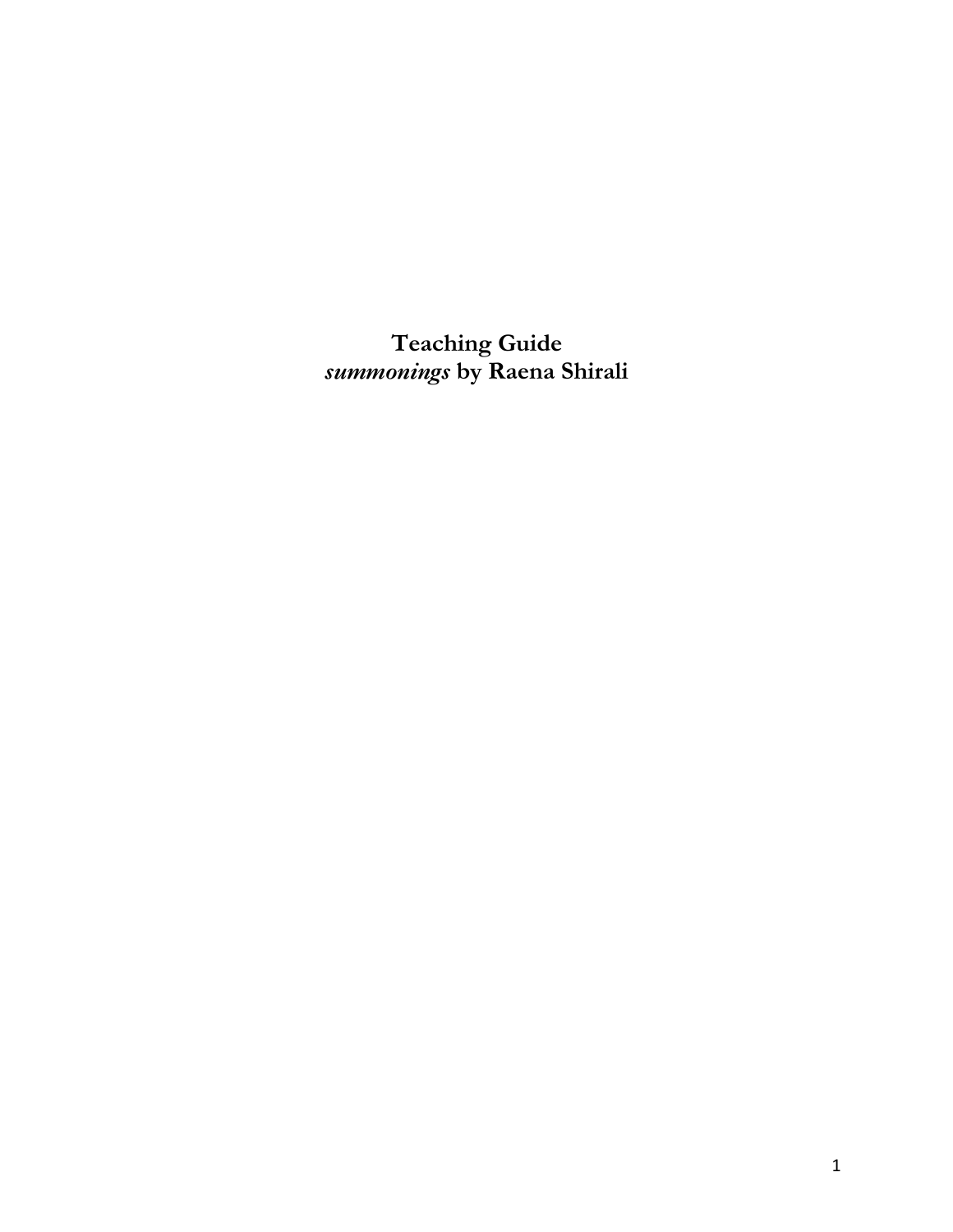**Teaching Guide** *summonings* **by Raena Shirali**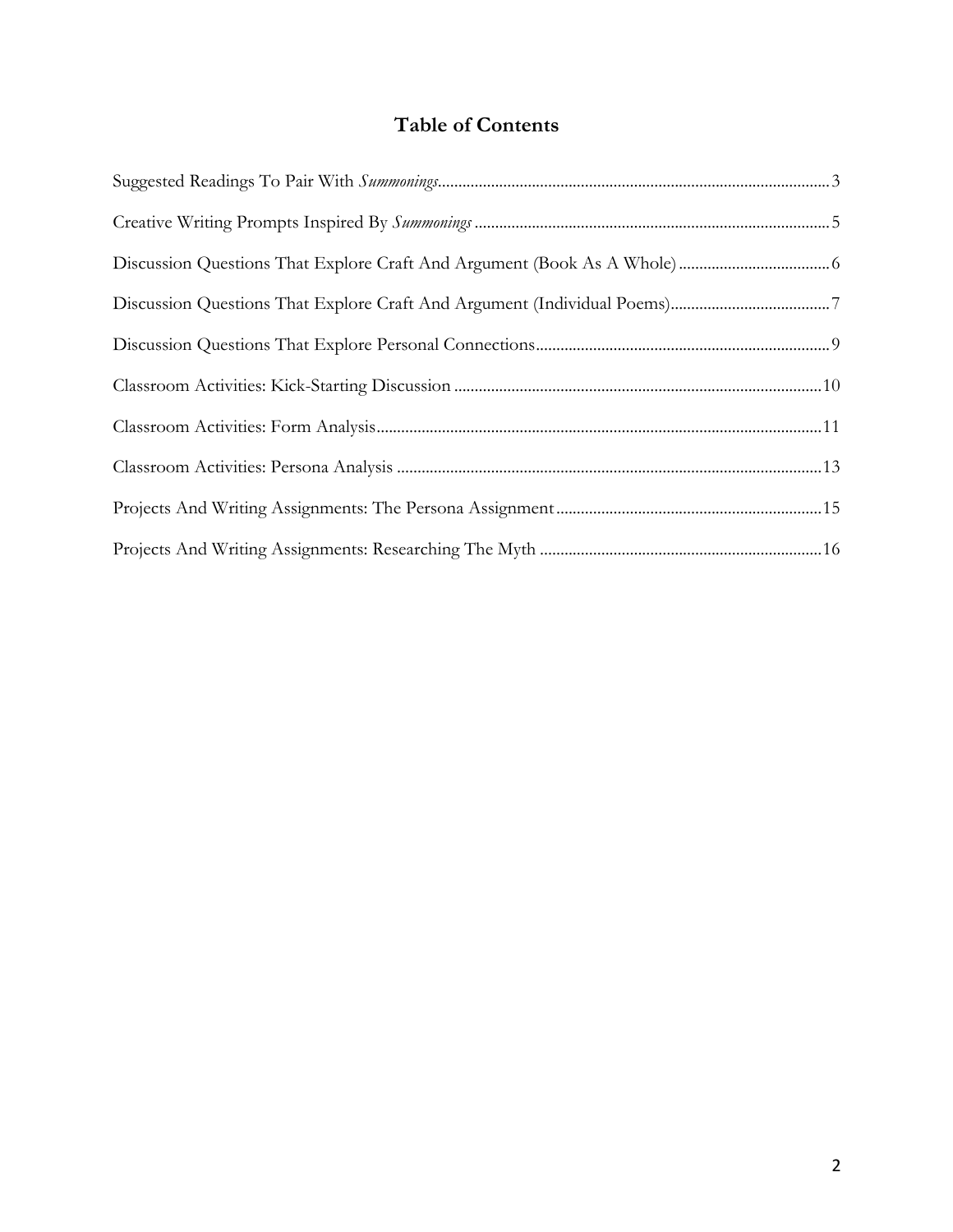# **Table of Contents**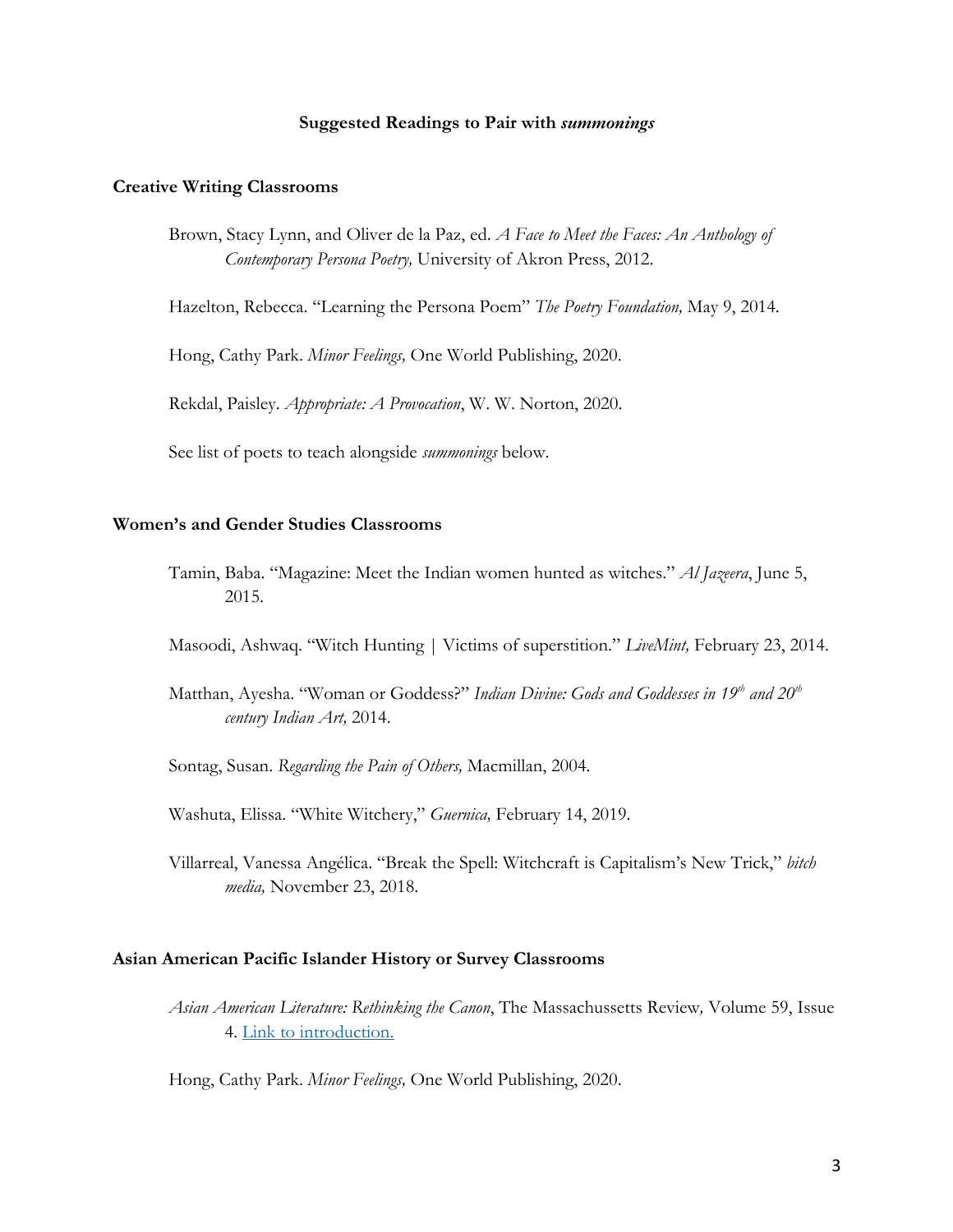#### **Suggested Readings to Pair with** *summonings*

#### **Creative Writing Classrooms**

Brown, Stacy Lynn, and Oliver de la Paz, ed. *A Face to Meet the Faces: An Anthology of Contemporary Persona Poetry,* University of Akron Press, 2012.

Hazelton, Rebecca. "Learning the Persona Poem" *The Poetry Foundation,* May 9, 2014.

Hong, Cathy Park. *Minor Feelings,* One World Publishing, 2020.

Rekdal, Paisley. *Appropriate: A Provocation*, W. W. Norton, 2020.

See list of poets to teach alongside *summonings* below.

### **Women's and Gender Studies Classrooms**

- Tamin, Baba. "Magazine: Meet the Indian women hunted as witches." *Al Jazeera*, June 5, 2015.
- Masoodi, Ashwaq. "Witch Hunting | Victims of superstition." *LiveMint,* February 23, 2014.
- Matthan, Ayesha. "Woman or Goddess?" *Indian Divine: Gods and Goddesses in 19th and 20th century Indian Art,* 2014.
- Sontag, Susan. *Regarding the Pain of Others,* Macmillan, 2004.
- Washuta, Elissa. "White Witchery," *Guernica,* February 14, 2019.
- Villarreal, Vanessa Angélica. "Break the Spell: Witchcraft is Capitalism's New Trick," *bitch media,* November 23, 2018.

#### **Asian American Pacific Islander History or Survey Classrooms**

*Asian American Literature: Rethinking the Canon*, The Massachussetts Review*,* Volume 59, Issue 4. Link to introduction.

Hong, Cathy Park. *Minor Feelings,* One World Publishing, 2020.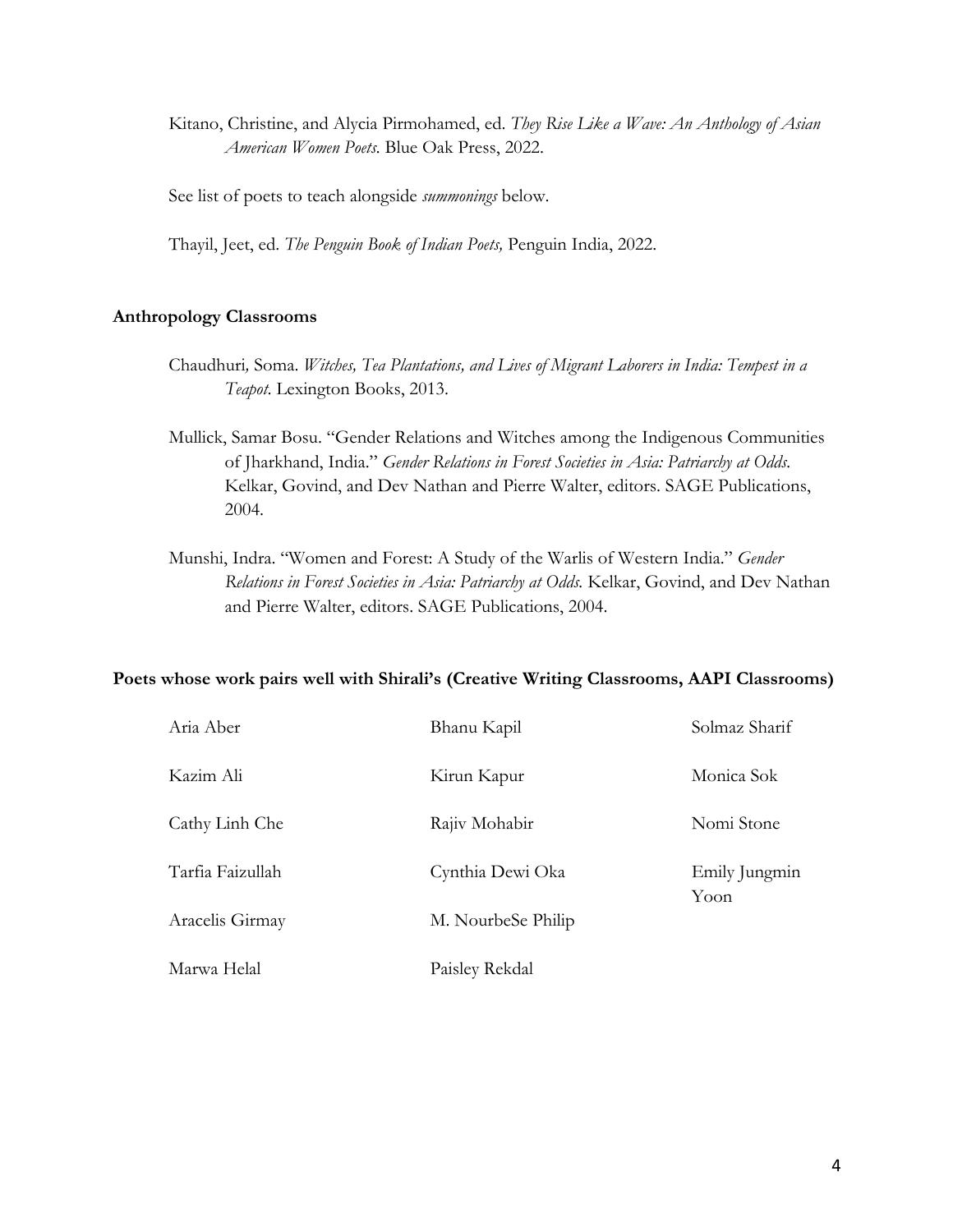Kitano, Christine, and Alycia Pirmohamed, ed. *They Rise Like a Wave: An Anthology of Asian American Women Poets.* Blue Oak Press, 2022.

See list of poets to teach alongside *summonings* below.

Thayil, Jeet, ed. *The Penguin Book of Indian Poets,* Penguin India, 2022.

# **Anthropology Classrooms**

- Chaudhuri*,* Soma. *Witches, Tea Plantations, and Lives of Migrant Laborers in India: Tempest in a Teapot*. Lexington Books, 2013.
- Mullick, Samar Bosu. "Gender Relations and Witches among the Indigenous Communities of Jharkhand, India." *Gender Relations in Forest Societies in Asia: Patriarchy at Odds.*  Kelkar, Govind, and Dev Nathan and Pierre Walter, editors. SAGE Publications, 2004.
- Munshi, Indra. "Women and Forest: A Study of the Warlis of Western India." *Gender Relations in Forest Societies in Asia: Patriarchy at Odds.* Kelkar, Govind, and Dev Nathan and Pierre Walter, editors. SAGE Publications, 2004.

#### **Poets whose work pairs well with Shirali's (Creative Writing Classrooms, AAPI Classrooms)**

| Aria Aber        | Bhanu Kapil        | Solmaz Sharif         |
|------------------|--------------------|-----------------------|
| Kazim Ali        | Kirun Kapur        | Monica Sok            |
| Cathy Linh Che   | Rajiv Mohabir      | Nomi Stone            |
| Tarfia Faizullah | Cynthia Dewi Oka   | Emily Jungmin<br>Yoon |
| Aracelis Girmay  | M. NourbeSe Philip |                       |
| Marwa Helal      | Paisley Rekdal     |                       |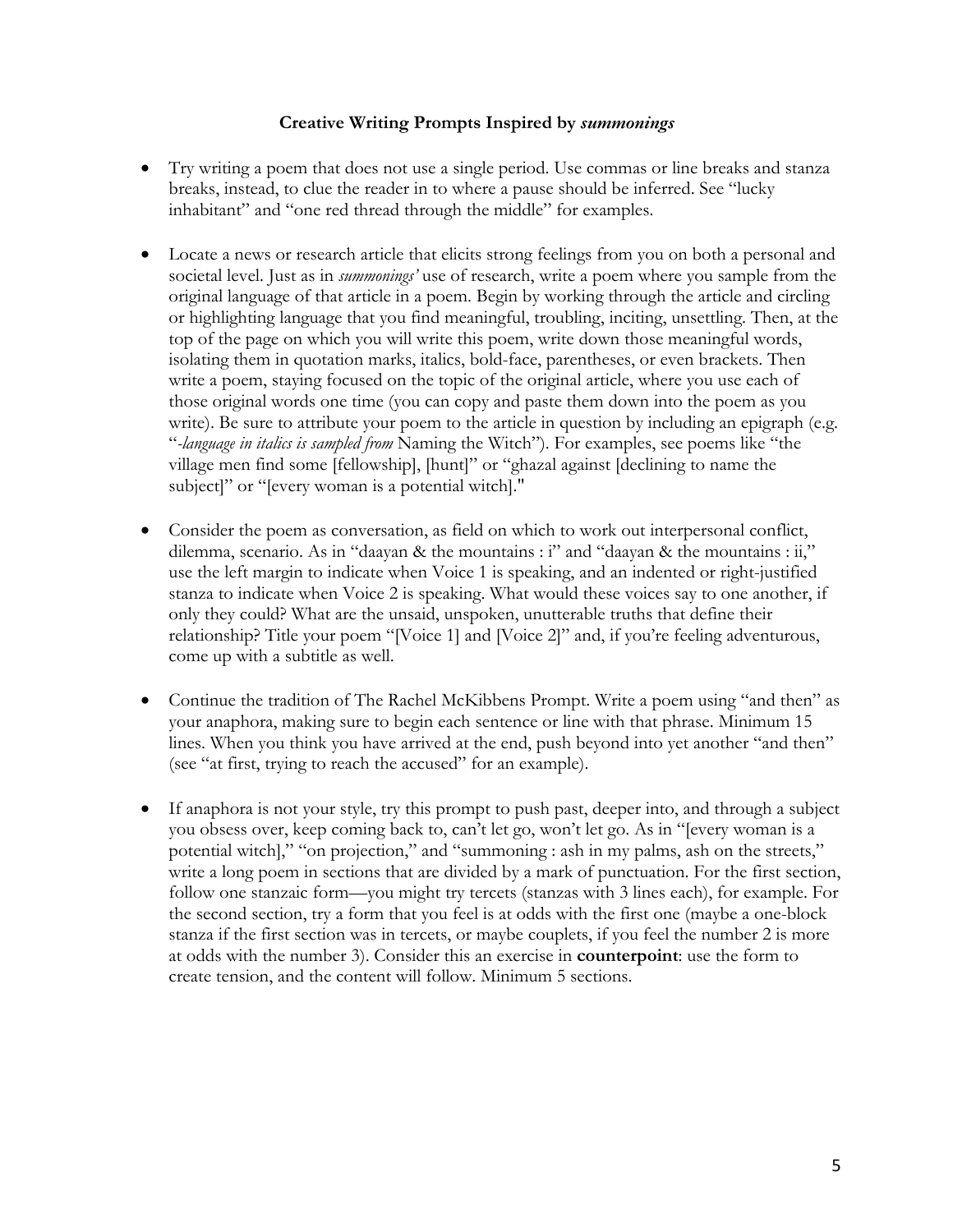# **Creative Writing Prompts Inspired by** *summonings*

- Try writing a poem that does not use a single period. Use commas or line breaks and stanza breaks, instead, to clue the reader in to where a pause should be inferred. See "lucky inhabitant" and "one red thread through the middle" for examples.
- Locate a news or research article that elicits strong feelings from you on both a personal and societal level. Just as in *summonings'* use of research, write a poem where you sample from the original language of that article in a poem. Begin by working through the article and circling or highlighting language that you find meaningful, troubling, inciting, unsettling. Then, at the top of the page on which you will write this poem, write down those meaningful words, isolating them in quotation marks, italics, bold-face, parentheses, or even brackets. Then write a poem, staying focused on the topic of the original article, where you use each of those original words one time (you can copy and paste them down into the poem as you write). Be sure to attribute your poem to the article in question by including an epigraph (e.g. "*-language in italics is sampled from* Naming the Witch"). For examples, see poems like "the village men find some [fellowship], [hunt]" or "ghazal against [declining to name the subject]" or "[every woman is a potential witch]."
- Consider the poem as conversation, as field on which to work out interpersonal conflict, dilemma, scenario. As in "daayan & the mountains : i" and "daayan & the mountains : ii," use the left margin to indicate when Voice 1 is speaking, and an indented or right-justified stanza to indicate when Voice 2 is speaking. What would these voices say to one another, if only they could? What are the unsaid, unspoken, unutterable truths that define their relationship? Title your poem "[Voice 1] and [Voice 2]" and, if you're feeling adventurous, come up with a subtitle as well.
- Continue the tradition of The Rachel McKibbens Prompt. Write a poem using "and then" as your anaphora, making sure to begin each sentence or line with that phrase. Minimum 15 lines. When you think you have arrived at the end, push beyond into yet another "and then" (see "at first, trying to reach the accused" for an example).
- If anaphora is not your style, try this prompt to push past, deeper into, and through a subject you obsess over, keep coming back to, can't let go, won't let go. As in "[every woman is a potential witch]," "on projection," and "summoning : ash in my palms, ash on the streets," write a long poem in sections that are divided by a mark of punctuation. For the first section, follow one stanzaic form—you might try tercets (stanzas with 3 lines each), for example. For the second section, try a form that you feel is at odds with the first one (maybe a one-block stanza if the first section was in tercets, or maybe couplets, if you feel the number 2 is more at odds with the number 3). Consider this an exercise in **counterpoint**: use the form to create tension, and the content will follow. Minimum 5 sections.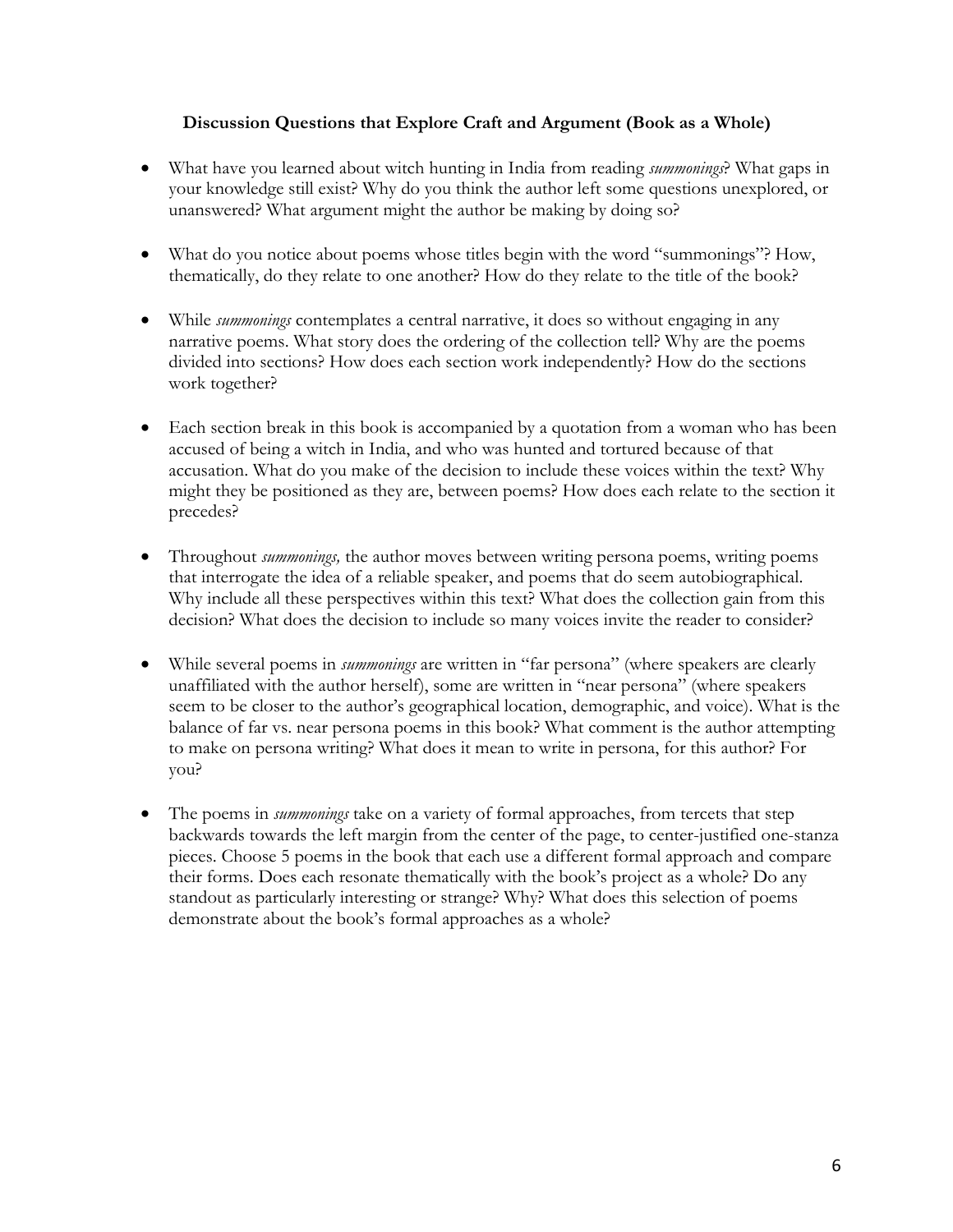# **Discussion Questions that Explore Craft and Argument (Book as a Whole)**

- What have you learned about witch hunting in India from reading *summonings*? What gaps in your knowledge still exist? Why do you think the author left some questions unexplored, or unanswered? What argument might the author be making by doing so?
- What do you notice about poems whose titles begin with the word "summonings"? How, thematically, do they relate to one another? How do they relate to the title of the book?
- While *summonings* contemplates a central narrative, it does so without engaging in any narrative poems. What story does the ordering of the collection tell? Why are the poems divided into sections? How does each section work independently? How do the sections work together?
- Each section break in this book is accompanied by a quotation from a woman who has been accused of being a witch in India, and who was hunted and tortured because of that accusation. What do you make of the decision to include these voices within the text? Why might they be positioned as they are, between poems? How does each relate to the section it precedes?
- Throughout *summonings,* the author moves between writing persona poems, writing poems that interrogate the idea of a reliable speaker, and poems that do seem autobiographical. Why include all these perspectives within this text? What does the collection gain from this decision? What does the decision to include so many voices invite the reader to consider?
- While several poems in *summonings* are written in "far persona" (where speakers are clearly unaffiliated with the author herself), some are written in "near persona" (where speakers seem to be closer to the author's geographical location, demographic, and voice). What is the balance of far vs. near persona poems in this book? What comment is the author attempting to make on persona writing? What does it mean to write in persona, for this author? For you?
- The poems in *summonings* take on a variety of formal approaches, from tercets that step backwards towards the left margin from the center of the page, to center-justified one-stanza pieces. Choose 5 poems in the book that each use a different formal approach and compare their forms. Does each resonate thematically with the book's project as a whole? Do any standout as particularly interesting or strange? Why? What does this selection of poems demonstrate about the book's formal approaches as a whole?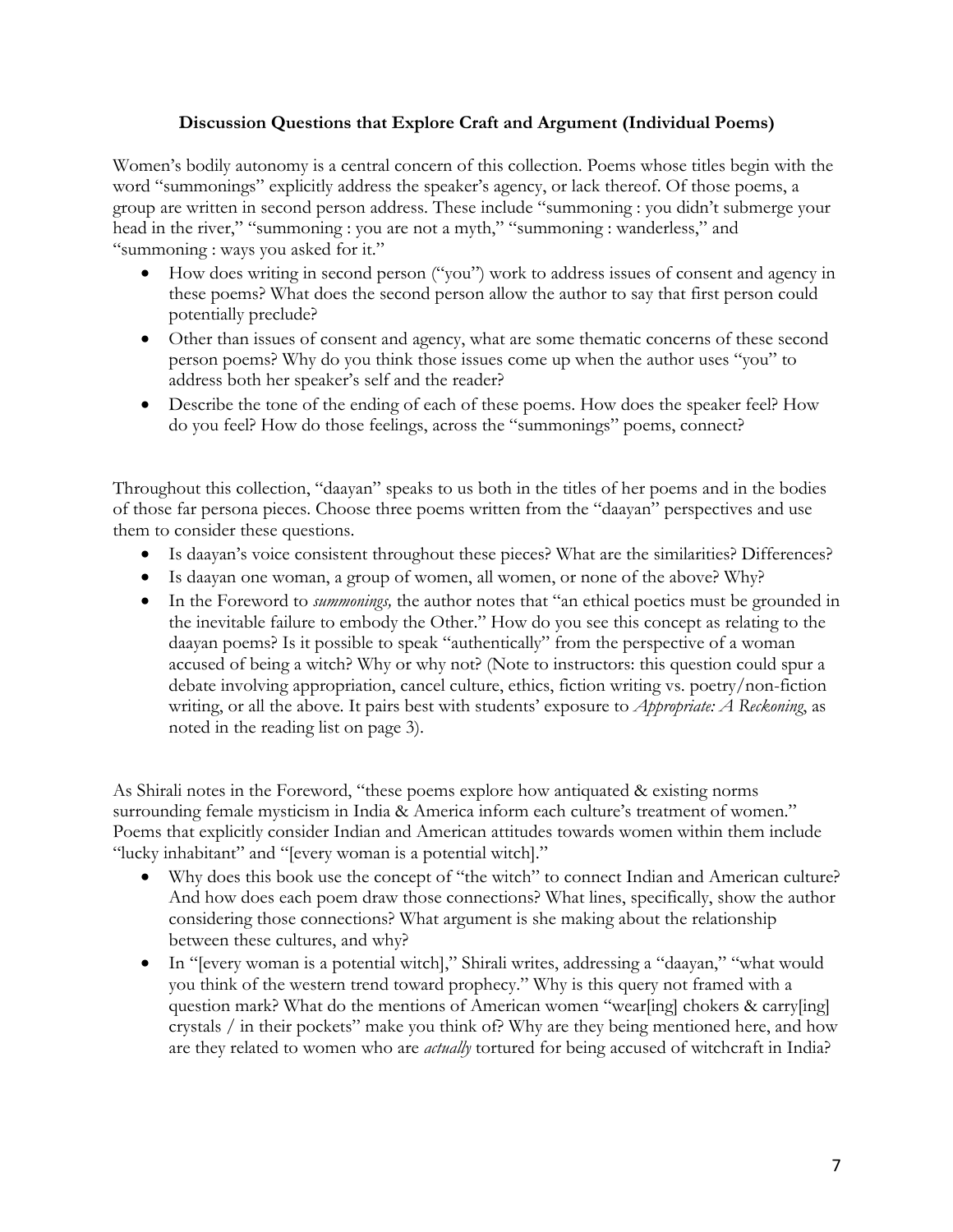# **Discussion Questions that Explore Craft and Argument (Individual Poems)**

Women's bodily autonomy is a central concern of this collection. Poems whose titles begin with the word "summonings" explicitly address the speaker's agency, or lack thereof. Of those poems, a group are written in second person address. These include "summoning : you didn't submerge your head in the river," "summoning : you are not a myth," "summoning : wanderless," and "summoning : ways you asked for it."

- How does writing in second person ("you") work to address issues of consent and agency in these poems? What does the second person allow the author to say that first person could potentially preclude?
- Other than issues of consent and agency, what are some thematic concerns of these second person poems? Why do you think those issues come up when the author uses "you" to address both her speaker's self and the reader?
- Describe the tone of the ending of each of these poems. How does the speaker feel? How do you feel? How do those feelings, across the "summonings" poems, connect?

Throughout this collection, "daayan" speaks to us both in the titles of her poems and in the bodies of those far persona pieces. Choose three poems written from the "daayan" perspectives and use them to consider these questions.

- Is daayan's voice consistent throughout these pieces? What are the similarities? Differences?
- Is daayan one woman, a group of women, all women, or none of the above? Why?
- In the Foreword to *summonings,* the author notes that "an ethical poetics must be grounded in the inevitable failure to embody the Other." How do you see this concept as relating to the daayan poems? Is it possible to speak "authentically" from the perspective of a woman accused of being a witch? Why or why not? (Note to instructors: this question could spur a debate involving appropriation, cancel culture, ethics, fiction writing vs. poetry/non-fiction writing, or all the above. It pairs best with students' exposure to *Appropriate: A Reckoning*, as noted in the reading list on page 3).

As Shirali notes in the Foreword, "these poems explore how antiquated & existing norms surrounding female mysticism in India & America inform each culture's treatment of women." Poems that explicitly consider Indian and American attitudes towards women within them include "lucky inhabitant" and "[every woman is a potential witch]."

- Why does this book use the concept of "the witch" to connect Indian and American culture? And how does each poem draw those connections? What lines, specifically, show the author considering those connections? What argument is she making about the relationship between these cultures, and why?
- In "[every woman is a potential witch]," Shirali writes, addressing a "daayan," "what would you think of the western trend toward prophecy." Why is this query not framed with a question mark? What do the mentions of American women "wear[ing] chokers & carry[ing] crystals / in their pockets" make you think of? Why are they being mentioned here, and how are they related to women who are *actually* tortured for being accused of witchcraft in India?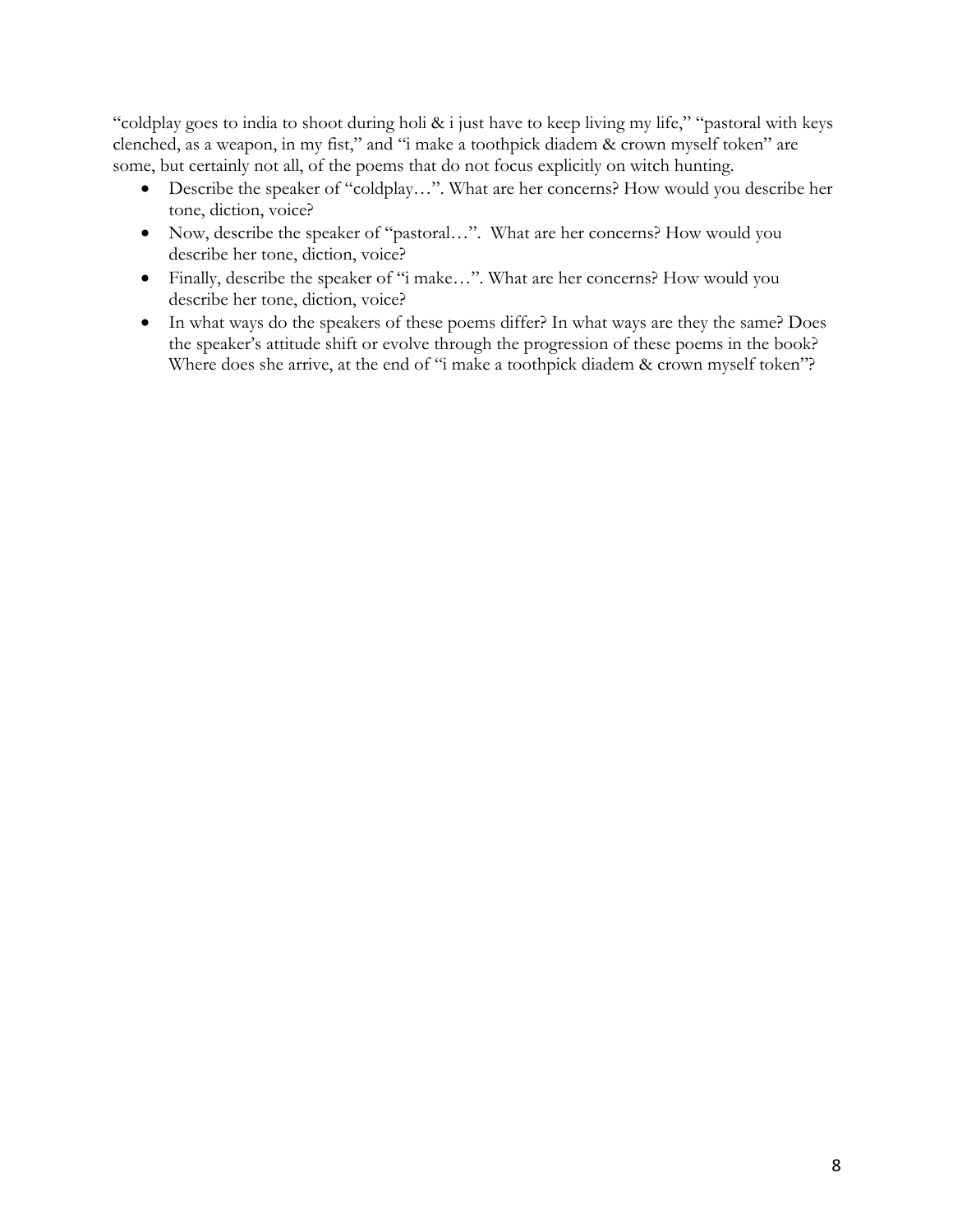"coldplay goes to india to shoot during holi & i just have to keep living my life," "pastoral with keys clenched, as a weapon, in my fist," and "i make a toothpick diadem & crown myself token" are some, but certainly not all, of the poems that do not focus explicitly on witch hunting.

- Describe the speaker of "coldplay…". What are her concerns? How would you describe her tone, diction, voice?
- Now, describe the speaker of "pastoral...". What are her concerns? How would you describe her tone, diction, voice?
- Finally, describe the speaker of "i make…". What are her concerns? How would you describe her tone, diction, voice?
- In what ways do the speakers of these poems differ? In what ways are they the same? Does the speaker's attitude shift or evolve through the progression of these poems in the book? Where does she arrive, at the end of "i make a toothpick diadem & crown myself token"?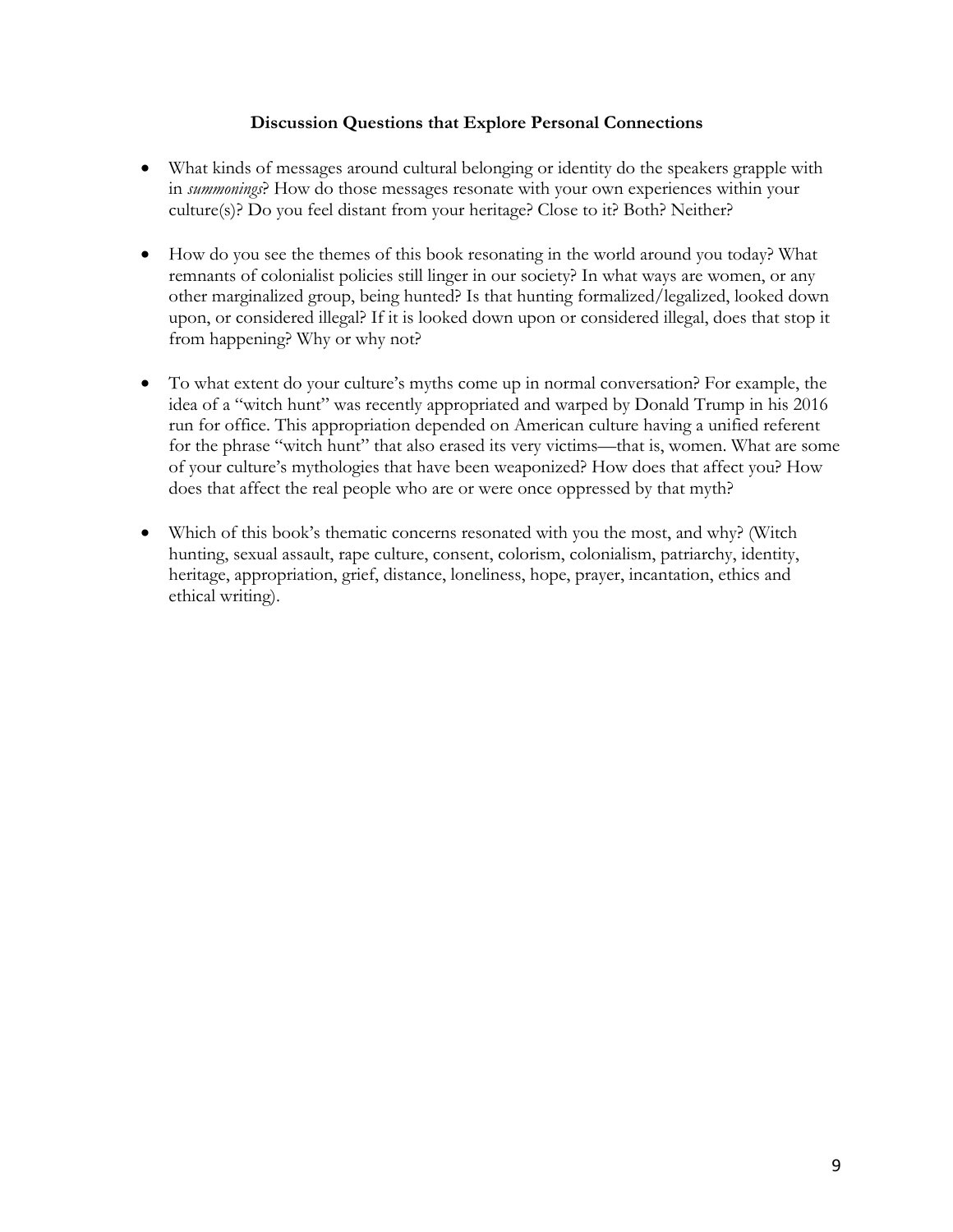# **Discussion Questions that Explore Personal Connections**

- What kinds of messages around cultural belonging or identity do the speakers grapple with in *summonings*? How do those messages resonate with your own experiences within your culture(s)? Do you feel distant from your heritage? Close to it? Both? Neither?
- How do you see the themes of this book resonating in the world around you today? What remnants of colonialist policies still linger in our society? In what ways are women, or any other marginalized group, being hunted? Is that hunting formalized/legalized, looked down upon, or considered illegal? If it is looked down upon or considered illegal, does that stop it from happening? Why or why not?
- To what extent do your culture's myths come up in normal conversation? For example, the idea of a "witch hunt" was recently appropriated and warped by Donald Trump in his 2016 run for office. This appropriation depended on American culture having a unified referent for the phrase "witch hunt" that also erased its very victims—that is, women. What are some of your culture's mythologies that have been weaponized? How does that affect you? How does that affect the real people who are or were once oppressed by that myth?
- Which of this book's thematic concerns resonated with you the most, and why? (Witch hunting, sexual assault, rape culture, consent, colorism, colonialism, patriarchy, identity, heritage, appropriation, grief, distance, loneliness, hope, prayer, incantation, ethics and ethical writing).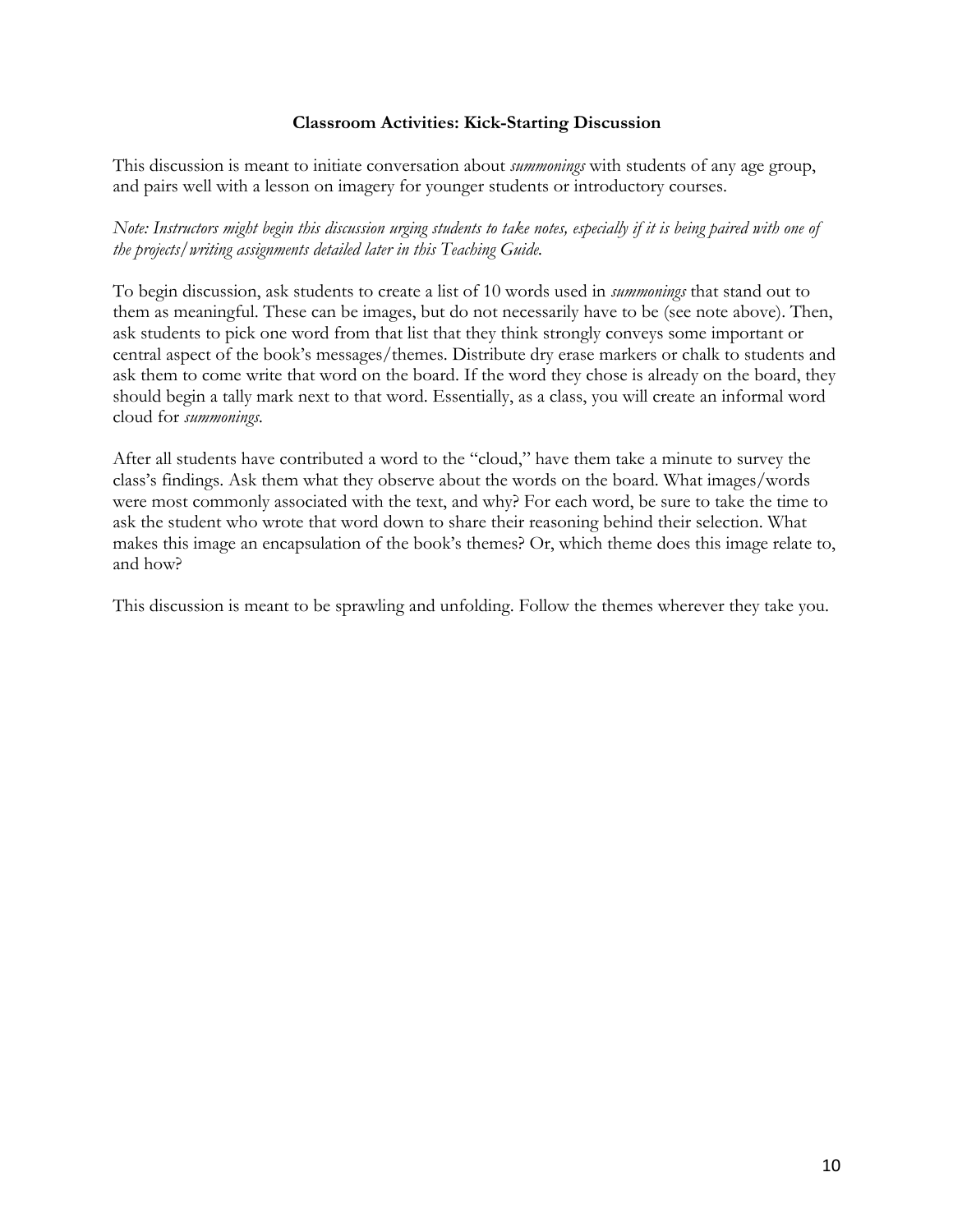### **Classroom Activities: Kick-Starting Discussion**

This discussion is meant to initiate conversation about *summonings* with students of any age group, and pairs well with a lesson on imagery for younger students or introductory courses.

*Note: Instructors might begin this discussion urging students to take notes, especially if it is being paired with one of the projects/writing assignments detailed later in this Teaching Guide.* 

To begin discussion, ask students to create a list of 10 words used in *summonings* that stand out to them as meaningful. These can be images, but do not necessarily have to be (see note above). Then, ask students to pick one word from that list that they think strongly conveys some important or central aspect of the book's messages/themes. Distribute dry erase markers or chalk to students and ask them to come write that word on the board. If the word they chose is already on the board, they should begin a tally mark next to that word. Essentially, as a class, you will create an informal word cloud for *summonings.*

After all students have contributed a word to the "cloud," have them take a minute to survey the class's findings. Ask them what they observe about the words on the board. What images/words were most commonly associated with the text, and why? For each word, be sure to take the time to ask the student who wrote that word down to share their reasoning behind their selection. What makes this image an encapsulation of the book's themes? Or, which theme does this image relate to, and how?

This discussion is meant to be sprawling and unfolding. Follow the themes wherever they take you.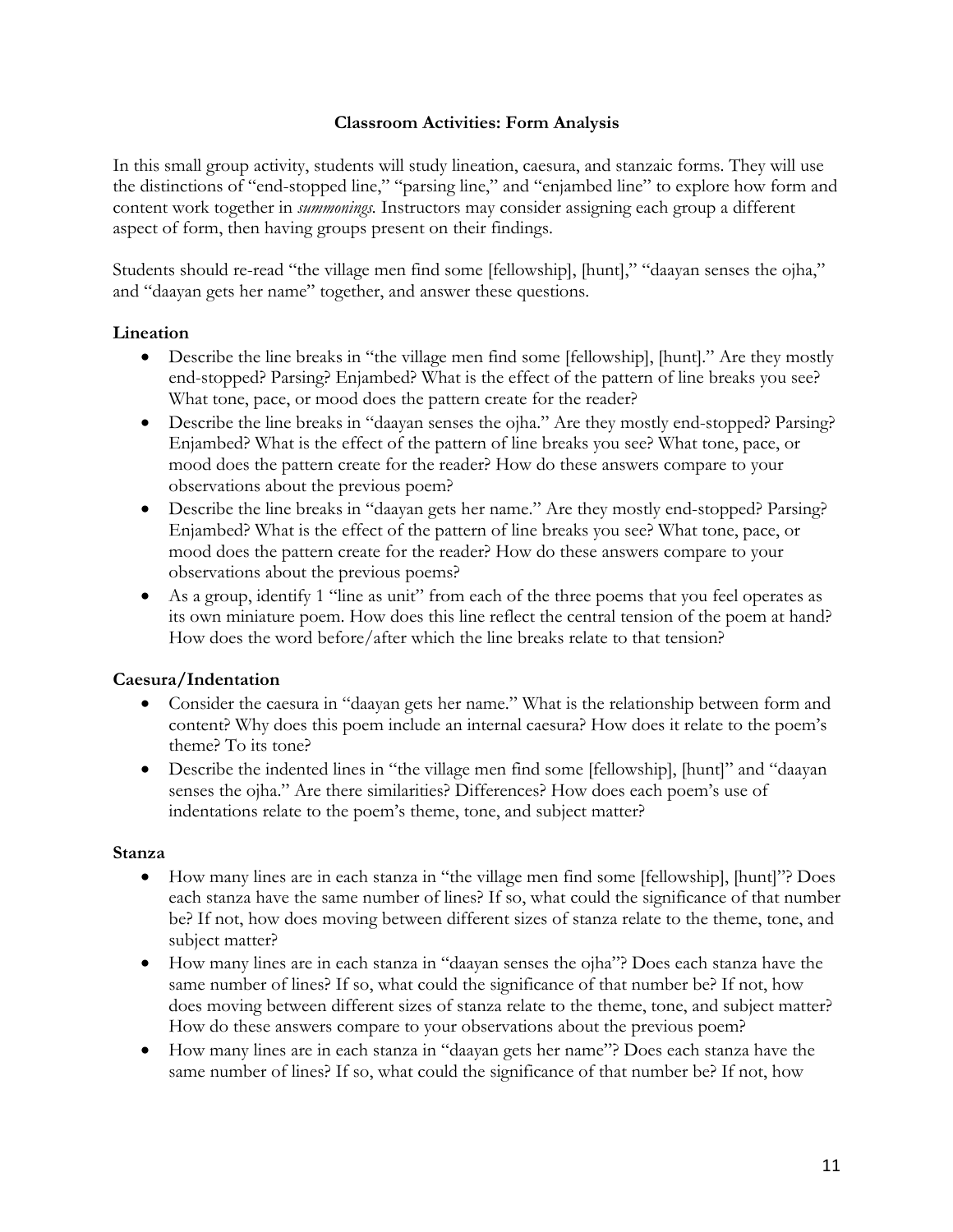# **Classroom Activities: Form Analysis**

In this small group activity, students will study lineation, caesura, and stanzaic forms. They will use the distinctions of "end-stopped line," "parsing line," and "enjambed line" to explore how form and content work together in *summonings.* Instructors may consider assigning each group a different aspect of form, then having groups present on their findings.

Students should re-read "the village men find some [fellowship], [hunt]," "daayan senses the ojha," and "daayan gets her name" together, and answer these questions.

# **Lineation**

- Describe the line breaks in "the village men find some [fellowship], [hunt]." Are they mostly end-stopped? Parsing? Enjambed? What is the effect of the pattern of line breaks you see? What tone, pace, or mood does the pattern create for the reader?
- Describe the line breaks in "daayan senses the ojha." Are they mostly end-stopped? Parsing? Enjambed? What is the effect of the pattern of line breaks you see? What tone, pace, or mood does the pattern create for the reader? How do these answers compare to your observations about the previous poem?
- Describe the line breaks in "daayan gets her name." Are they mostly end-stopped? Parsing? Enjambed? What is the effect of the pattern of line breaks you see? What tone, pace, or mood does the pattern create for the reader? How do these answers compare to your observations about the previous poems?
- As a group, identify 1 "line as unit" from each of the three poems that you feel operates as its own miniature poem. How does this line reflect the central tension of the poem at hand? How does the word before/after which the line breaks relate to that tension?

# **Caesura/Indentation**

- Consider the caesura in "daayan gets her name." What is the relationship between form and content? Why does this poem include an internal caesura? How does it relate to the poem's theme? To its tone?
- Describe the indented lines in "the village men find some [fellowship], [hunt]" and "daayan senses the ojha." Are there similarities? Differences? How does each poem's use of indentations relate to the poem's theme, tone, and subject matter?

# **Stanza**

- How many lines are in each stanza in "the village men find some [fellowship], [hunt]"? Does each stanza have the same number of lines? If so, what could the significance of that number be? If not, how does moving between different sizes of stanza relate to the theme, tone, and subject matter?
- How many lines are in each stanza in "daayan senses the ojha"? Does each stanza have the same number of lines? If so, what could the significance of that number be? If not, how does moving between different sizes of stanza relate to the theme, tone, and subject matter? How do these answers compare to your observations about the previous poem?
- How many lines are in each stanza in "daayan gets her name"? Does each stanza have the same number of lines? If so, what could the significance of that number be? If not, how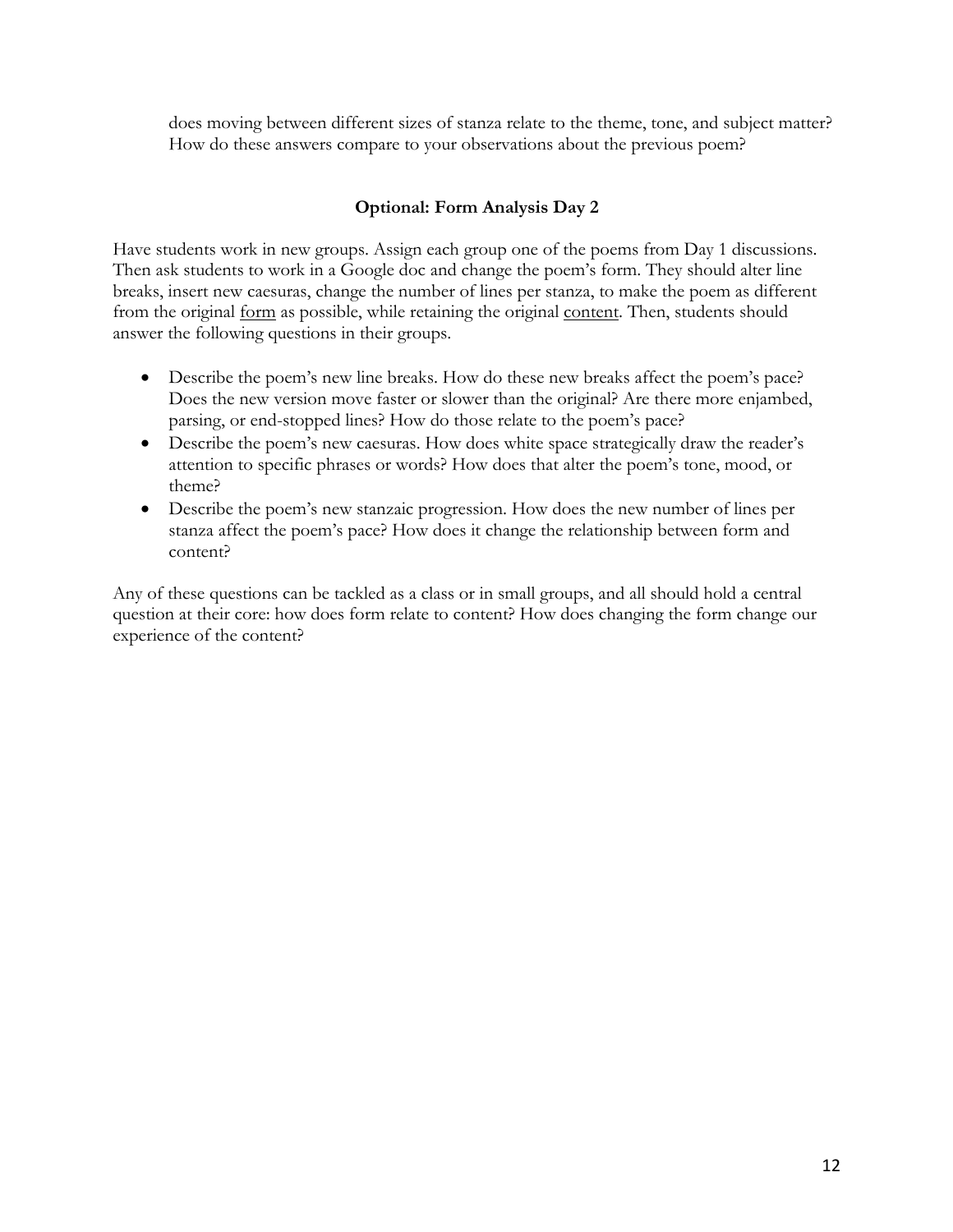does moving between different sizes of stanza relate to the theme, tone, and subject matter? How do these answers compare to your observations about the previous poem?

# **Optional: Form Analysis Day 2**

Have students work in new groups. Assign each group one of the poems from Day 1 discussions. Then ask students to work in a Google doc and change the poem's form. They should alter line breaks, insert new caesuras, change the number of lines per stanza, to make the poem as different from the original form as possible, while retaining the original content. Then, students should answer the following questions in their groups.

- Describe the poem's new line breaks. How do these new breaks affect the poem's pace? Does the new version move faster or slower than the original? Are there more enjambed, parsing, or end-stopped lines? How do those relate to the poem's pace?
- Describe the poem's new caesuras. How does white space strategically draw the reader's attention to specific phrases or words? How does that alter the poem's tone, mood, or theme?
- Describe the poem's new stanzaic progression. How does the new number of lines per stanza affect the poem's pace? How does it change the relationship between form and content?

Any of these questions can be tackled as a class or in small groups, and all should hold a central question at their core: how does form relate to content? How does changing the form change our experience of the content?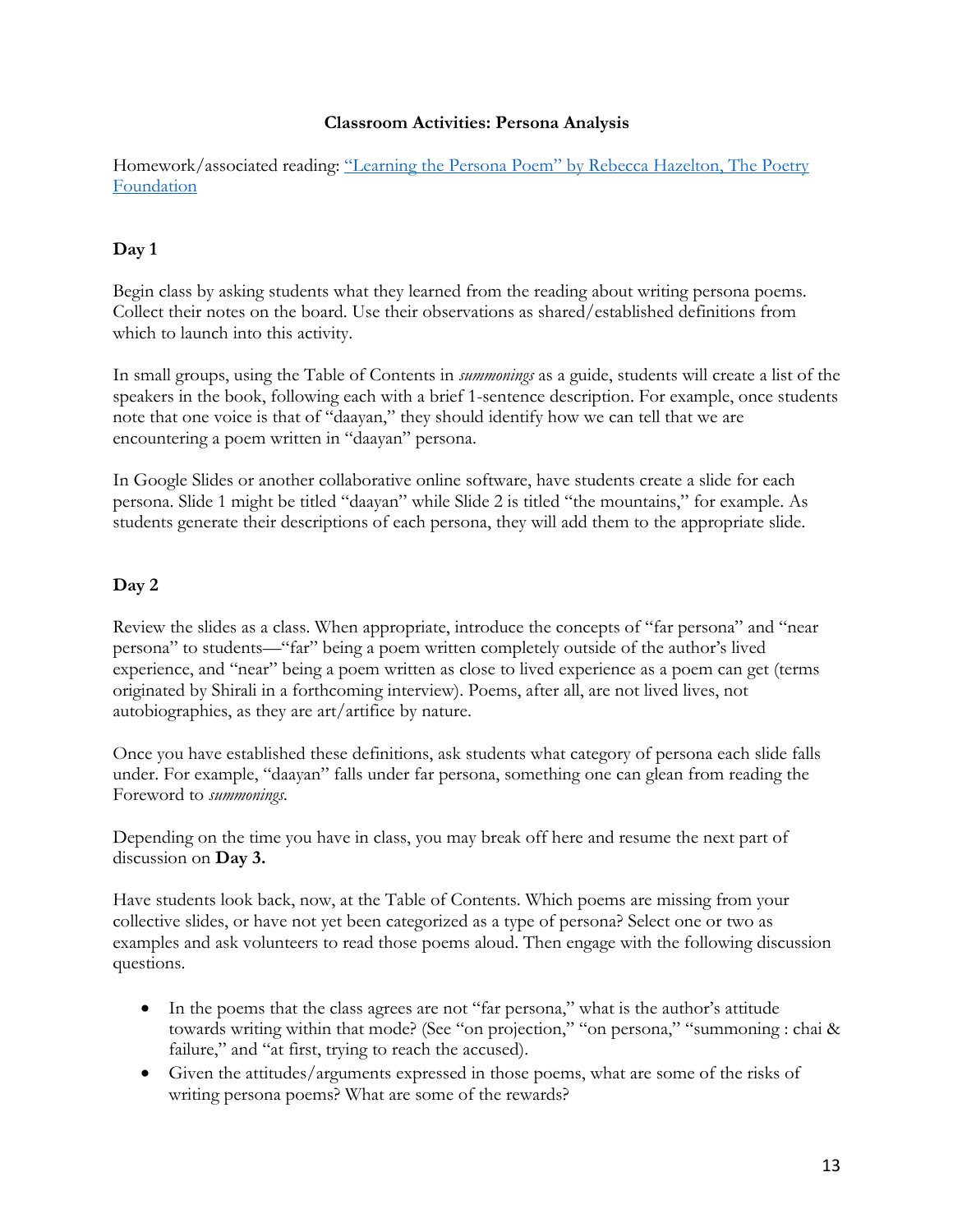# **Classroom Activities: Persona Analysis**

Homework/associated reading: "Learning the Persona Poem" by Rebecca Hazelton, The Poetry Foundation

# **Day 1**

Begin class by asking students what they learned from the reading about writing persona poems. Collect their notes on the board. Use their observations as shared/established definitions from which to launch into this activity.

In small groups, using the Table of Contents in *summonings* as a guide, students will create a list of the speakers in the book, following each with a brief 1-sentence description. For example, once students note that one voice is that of "daayan," they should identify how we can tell that we are encountering a poem written in "daayan" persona.

In Google Slides or another collaborative online software, have students create a slide for each persona. Slide 1 might be titled "daayan" while Slide 2 is titled "the mountains," for example. As students generate their descriptions of each persona, they will add them to the appropriate slide.

# **Day 2**

Review the slides as a class. When appropriate, introduce the concepts of "far persona" and "near persona" to students—"far" being a poem written completely outside of the author's lived experience, and "near" being a poem written as close to lived experience as a poem can get (terms originated by Shirali in a forthcoming interview). Poems, after all, are not lived lives, not autobiographies, as they are art/artifice by nature.

Once you have established these definitions, ask students what category of persona each slide falls under. For example, "daayan" falls under far persona, something one can glean from reading the Foreword to *summonings.* 

Depending on the time you have in class, you may break off here and resume the next part of discussion on **Day 3.**

Have students look back, now, at the Table of Contents. Which poems are missing from your collective slides, or have not yet been categorized as a type of persona? Select one or two as examples and ask volunteers to read those poems aloud. Then engage with the following discussion questions.

- In the poems that the class agrees are not "far persona," what is the author's attitude towards writing within that mode? (See "on projection," "on persona," "summoning : chai & failure," and "at first, trying to reach the accused).
- Given the attitudes/arguments expressed in those poems, what are some of the risks of writing persona poems? What are some of the rewards?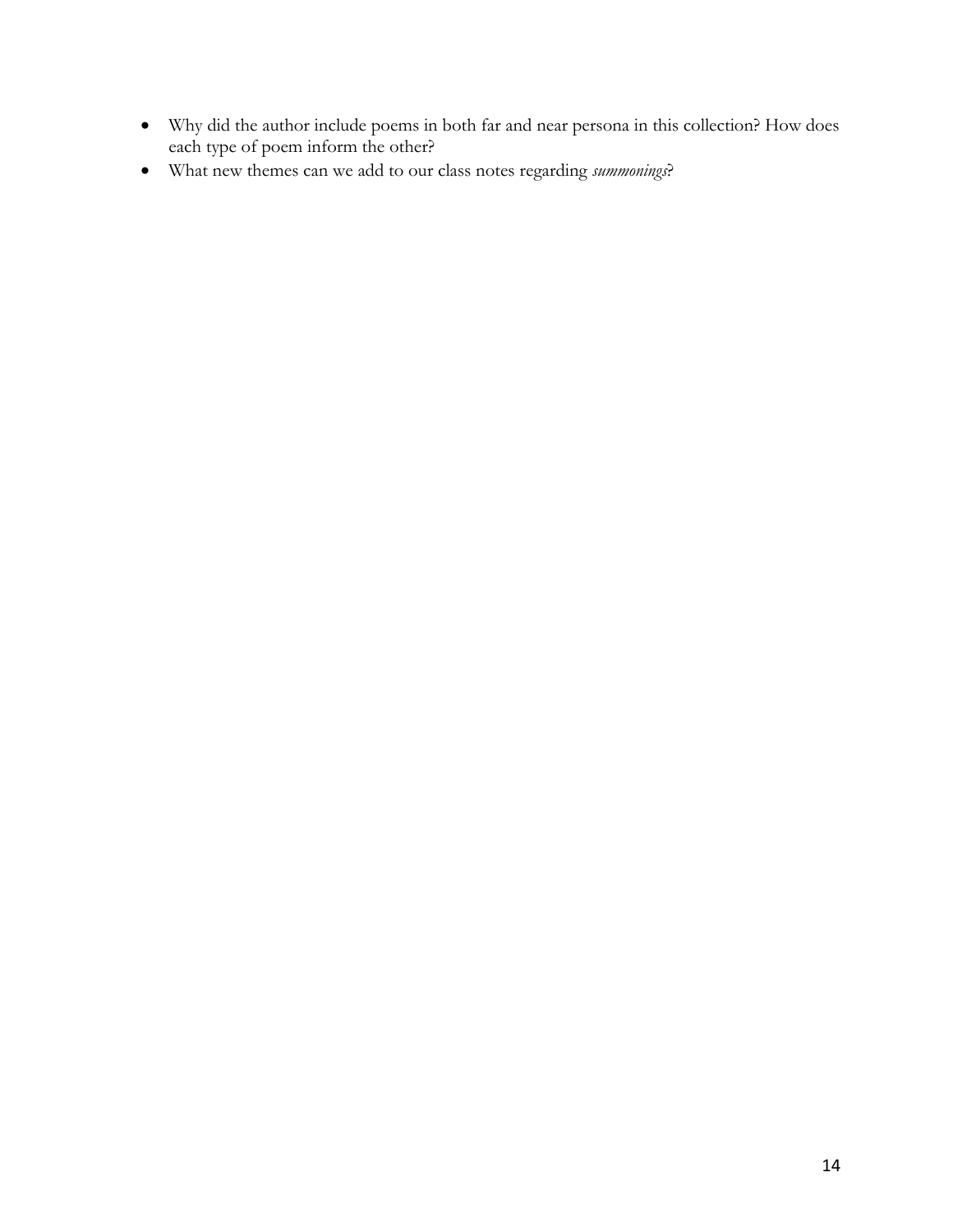- Why did the author include poems in both far and near persona in this collection? How does each type of poem inform the other?
- What new themes can we add to our class notes regarding *summonings*?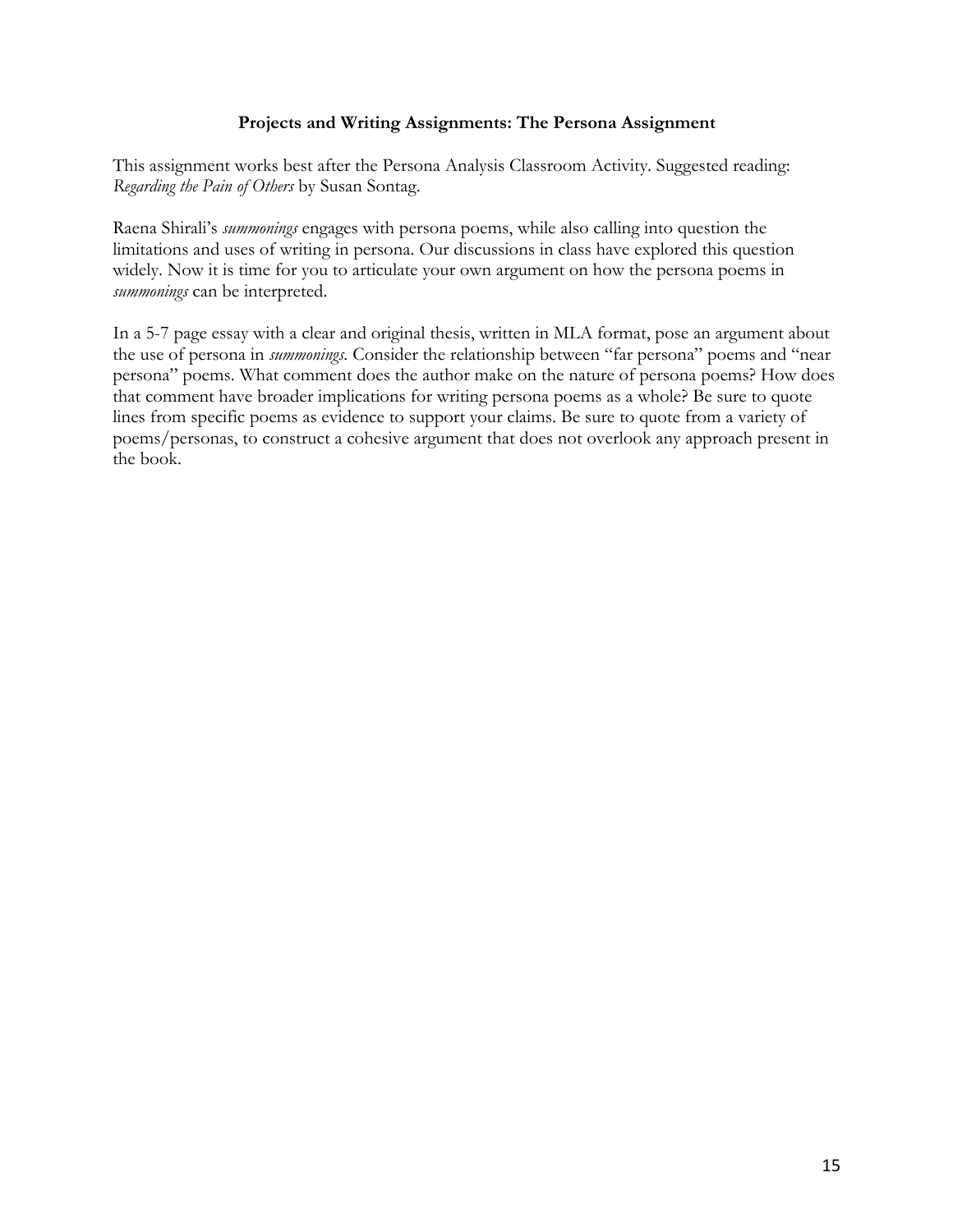# **Projects and Writing Assignments: The Persona Assignment**

This assignment works best after the Persona Analysis Classroom Activity. Suggested reading: *Regarding the Pain of Others* by Susan Sontag.

Raena Shirali's *summonings* engages with persona poems, while also calling into question the limitations and uses of writing in persona. Our discussions in class have explored this question widely. Now it is time for you to articulate your own argument on how the persona poems in *summonings* can be interpreted.

In a 5-7 page essay with a clear and original thesis, written in MLA format, pose an argument about the use of persona in *summonings.* Consider the relationship between "far persona" poems and "near persona" poems. What comment does the author make on the nature of persona poems? How does that comment have broader implications for writing persona poems as a whole? Be sure to quote lines from specific poems as evidence to support your claims. Be sure to quote from a variety of poems/personas, to construct a cohesive argument that does not overlook any approach present in the book.